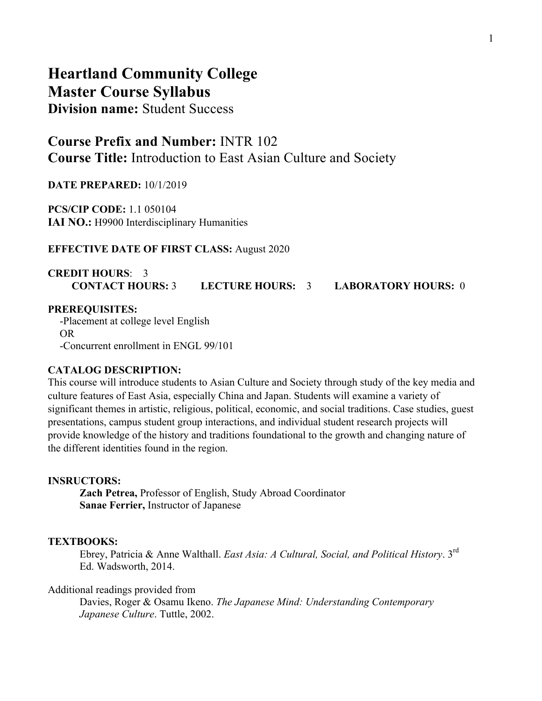# **Heartland Community College Master Course Syllabus Division name:** Student Success

# **Course Prefix and Number:** INTR 102 **Course Title:** Introduction to East Asian Culture and Society

**DATE PREPARED:** 10/1/2019

**PCS/CIP CODE:** 1.1 050104 **IAI NO.:** H9900 Interdisciplinary Humanities

### **EFFECTIVE DATE OF FIRST CLASS:** August 2020

# **CREDIT HOURS**: 3 **CONTACT HOURS:** 3 **LECTURE HOURS:** 3 **LABORATORY HOURS:** 0

#### **PREREQUISITES:**

-Placement at college level English OR -Concurrent enrollment in ENGL 99/101

### **CATALOG DESCRIPTION:**

This course will introduce students to Asian Culture and Society through study of the key media and culture features of East Asia, especially China and Japan. Students will examine a variety of significant themes in artistic, religious, political, economic, and social traditions. Case studies, guest presentations, campus student group interactions, and individual student research projects will provide knowledge of the history and traditions foundational to the growth and changing nature of the different identities found in the region.

#### **INSRUCTORS:**

**Zach Petrea,** Professor of English, Study Abroad Coordinator **Sanae Ferrier,** Instructor of Japanese

### **TEXTBOOKS:**

Ebrey, Patricia & Anne Walthall. *East Asia: A Cultural, Social, and Political History*. 3rd Ed. Wadsworth, 2014.

#### Additional readings provided from

Davies, Roger & Osamu Ikeno. *The Japanese Mind: Understanding Contemporary Japanese Culture*. Tuttle, 2002.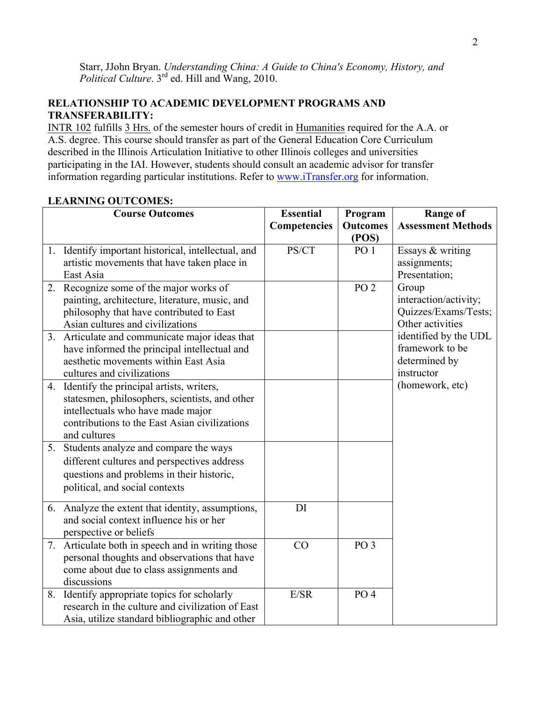Starr, JJohn Bryan. *Understanding China: A Guide to China's Economy, History, and Political Culture.* 3<sup>rd</sup> ed. Hill and Wang, 2010.

# **RELATIONSHIP TO ACADEMIC DEVELOPMENT PROGRAMS AND TRANSFERABILITY:**

INTR 102 fulfills 3 Hrs. of the semester hours of credit in Humanities required for the A.A. or A.S. degree. This course should transfer as part of the General Education Core Curriculum described in the Illinois Articulation Initiative to other Illinois colleges and universities participating in the IAI. However, students should consult an academic advisor for transfer information regarding particular institutions. Refer to www.iTransfer.org for information.

# **LEARNING OUTCOMES:**

| <b>Course Outcomes</b>                                   | <b>Essential</b> | Program                  | <b>Range of</b>               |
|----------------------------------------------------------|------------------|--------------------------|-------------------------------|
|                                                          | Competencies     | <b>Outcomes</b>          | <b>Assessment Methods</b>     |
|                                                          | PS/CT            | (POS)<br>PO <sub>1</sub> |                               |
| 1. Identify important historical, intellectual, and      |                  |                          | Essays & writing              |
| artistic movements that have taken place in<br>East Asia |                  |                          | assignments;<br>Presentation; |
| 2. Recognize some of the major works of                  |                  | PO <sub>2</sub>          | Group                         |
| painting, architecture, literature, music, and           |                  |                          | interaction/activity;         |
| philosophy that have contributed to East                 |                  |                          | Quizzes/Exams/Tests;          |
| Asian cultures and civilizations                         |                  |                          | Other activities              |
| 3. Articulate and communicate major ideas that           |                  |                          | identified by the UDL         |
| have informed the principal intellectual and             |                  |                          | framework to be               |
| aesthetic movements within East Asia                     |                  |                          | determined by                 |
| cultures and civilizations                               |                  |                          | instructor                    |
| 4. Identify the principal artists, writers,              |                  |                          | (homework, etc)               |
| statesmen, philosophers, scientists, and other           |                  |                          |                               |
| intellectuals who have made major                        |                  |                          |                               |
| contributions to the East Asian civilizations            |                  |                          |                               |
| and cultures                                             |                  |                          |                               |
| 5. Students analyze and compare the ways                 |                  |                          |                               |
| different cultures and perspectives address              |                  |                          |                               |
| questions and problems in their historic,                |                  |                          |                               |
| political, and social contexts                           |                  |                          |                               |
| 6. Analyze the extent that identity, assumptions,        | DI               |                          |                               |
| and social context influence his or her                  |                  |                          |                               |
| perspective or beliefs                                   |                  |                          |                               |
| 7. Articulate both in speech and in writing those        | CO               | PO <sub>3</sub>          |                               |
| personal thoughts and observations that have             |                  |                          |                               |
| come about due to class assignments and                  |                  |                          |                               |
| discussions                                              |                  |                          |                               |
| 8. Identify appropriate topics for scholarly             | E/SR             | PO <sub>4</sub>          |                               |
| research in the culture and civilization of East         |                  |                          |                               |
| Asia, utilize standard bibliographic and other           |                  |                          |                               |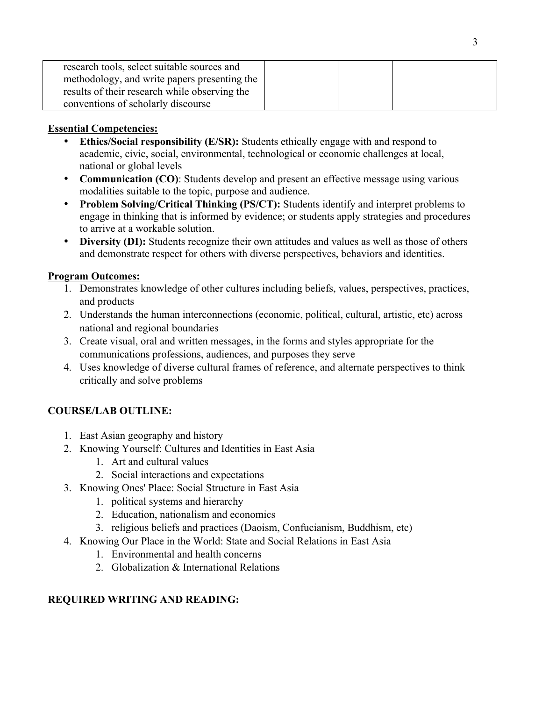| research tools, select suitable sources and   |  |  |
|-----------------------------------------------|--|--|
| methodology, and write papers presenting the  |  |  |
| results of their research while observing the |  |  |
| conventions of scholarly discourse            |  |  |

# **Essential Competencies:**

- **Ethics/Social responsibility (E/SR):** Students ethically engage with and respond to academic, civic, social, environmental, technological or economic challenges at local, national or global levels
- **Communication (CO)**: Students develop and present an effective message using various modalities suitable to the topic, purpose and audience.
- **Problem Solving/Critical Thinking (PS/CT):** Students identify and interpret problems to engage in thinking that is informed by evidence; or students apply strategies and procedures to arrive at a workable solution.
- **Diversity (DI):** Students recognize their own attitudes and values as well as those of others and demonstrate respect for others with diverse perspectives, behaviors and identities.

# **Program Outcomes:**

- 1. Demonstrates knowledge of other cultures including beliefs, values, perspectives, practices, and products
- 2. Understands the human interconnections (economic, political, cultural, artistic, etc) across national and regional boundaries
- 3. Create visual, oral and written messages, in the forms and styles appropriate for the communications professions, audiences, and purposes they serve
- 4. Uses knowledge of diverse cultural frames of reference, and alternate perspectives to think critically and solve problems

# **COURSE/LAB OUTLINE:**

- 1. East Asian geography and history
- 2. Knowing Yourself: Cultures and Identities in East Asia
	- 1. Art and cultural values
	- 2. Social interactions and expectations
- 3. Knowing Ones' Place: Social Structure in East Asia
	- 1. political systems and hierarchy
	- 2. Education, nationalism and economics
	- 3. religious beliefs and practices (Daoism, Confucianism, Buddhism, etc)
- 4. Knowing Our Place in the World: State and Social Relations in East Asia
	- 1. Environmental and health concerns
	- 2. Globalization & International Relations

# **REQUIRED WRITING AND READING:**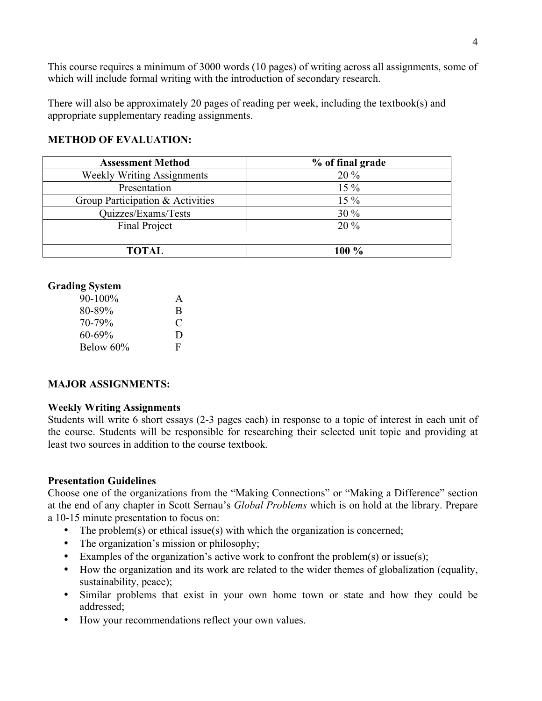This course requires a minimum of 3000 words (10 pages) of writing across all assignments, some of which will include formal writing with the introduction of secondary research.

There will also be approximately 20 pages of reading per week, including the textbook(s) and appropriate supplementary reading assignments.

## **METHOD OF EVALUATION:**

| <b>Assessment Method</b>          | % of final grade |
|-----------------------------------|------------------|
| <b>Weekly Writing Assignments</b> | $20\%$           |
| Presentation                      | $15\%$           |
| Group Participation & Activities  | $15\%$           |
| Quizzes/Exams/Tests               | $30\%$           |
| <b>Final Project</b>              | $20\%$           |
|                                   |                  |
| TOTAL                             | $100\%$          |

## **Grading System**

| $90-100\%$  | A |
|-------------|---|
| $80 - 89\%$ | B |
| $70 - 79\%$ | C |
| $60 - 69\%$ | D |
| Below 60%   | F |

### **MAJOR ASSIGNMENTS:**

### **Weekly Writing Assignments**

Students will write 6 short essays (2-3 pages each) in response to a topic of interest in each unit of the course. Students will be responsible for researching their selected unit topic and providing at least two sources in addition to the course textbook.

### **Presentation Guidelines**

Choose one of the organizations from the "Making Connections" or "Making a Difference" section at the end of any chapter in Scott Sernau's *Global Problems* which is on hold at the library. Prepare a 10-15 minute presentation to focus on:

- The problem(s) or ethical issue(s) with which the organization is concerned;
- The organization's mission or philosophy;
- Examples of the organization's active work to confront the problem $(s)$  or issue $(s)$ ;
- How the organization and its work are related to the wider themes of globalization (equality, sustainability, peace);
- Similar problems that exist in your own home town or state and how they could be addressed;
- How your recommendations reflect your own values.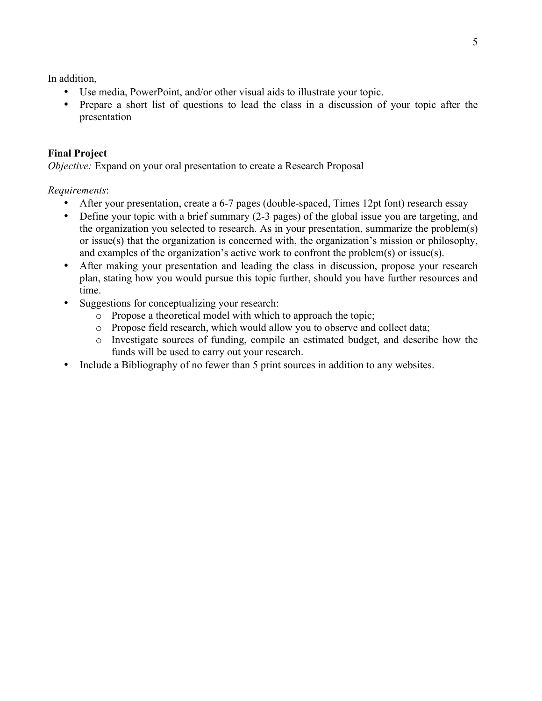In addition,

- Use media, PowerPoint, and/or other visual aids to illustrate your topic.
- Prepare a short list of questions to lead the class in a discussion of your topic after the presentation

# **Final Project**

*Objective:* Expand on your oral presentation to create a Research Proposal

## *Requirements*:

- After your presentation, create a 6-7 pages (double-spaced, Times 12pt font) research essay
- Define your topic with a brief summary (2-3 pages) of the global issue you are targeting, and the organization you selected to research. As in your presentation, summarize the problem(s) or issue(s) that the organization is concerned with, the organization's mission or philosophy, and examples of the organization's active work to confront the problem(s) or issue(s).
- After making your presentation and leading the class in discussion, propose your research plan, stating how you would pursue this topic further, should you have further resources and time.
- Suggestions for conceptualizing your research:
	- o Propose a theoretical model with which to approach the topic;
	- o Propose field research, which would allow you to observe and collect data;
	- o Investigate sources of funding, compile an estimated budget, and describe how the funds will be used to carry out your research.
- Include a Bibliography of no fewer than 5 print sources in addition to any websites.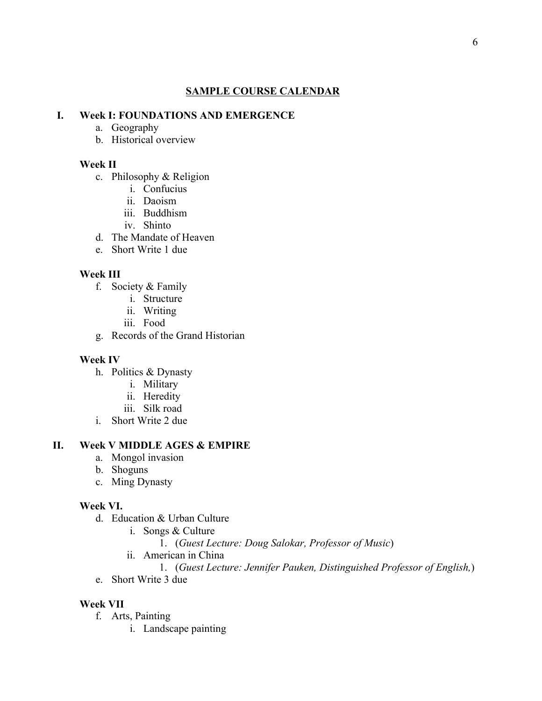### **SAMPLE COURSE CALENDAR**

#### **I. Week I: FOUNDATIONS AND EMERGENCE**

- a. Geography
- b. Historical overview

#### **Week II**

- c. Philosophy & Religion
	- i. Confucius
	- ii. Daoism
	- iii. Buddhism
	- iv. Shinto
- d. The Mandate of Heaven
- e. Short Write 1 due

#### **Week III**

- f. Society & Family
	- i. Structure
	- ii. Writing
	- iii. Food
- g. Records of the Grand Historian

#### **Week IV**

- h. Politics & Dynasty
	- i. Military
	- ii. Heredity
	- iii. Silk road
- i. Short Write 2 due

# **II. Week V MIDDLE AGES & EMPIRE**

- a. Mongol invasion
- b. Shoguns
- c. Ming Dynasty

### **Week VI.**

- d. Education & Urban Culture
	- i. Songs & Culture
		- 1. (*Guest Lecture: Doug Salokar, Professor of Music*)
	- ii. American in China
	- 1. (*Guest Lecture: Jennifer Pauken, Distinguished Professor of English,*)
- e. Short Write 3 due

### **Week VII**

- f. Arts, Painting
	- i. Landscape painting